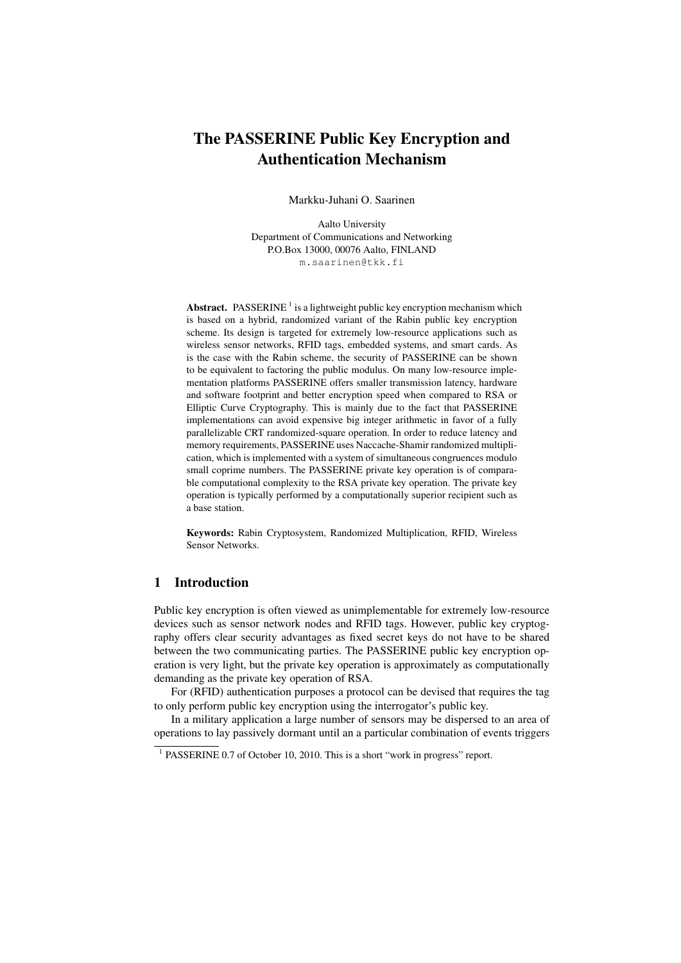# The PASSERINE Public Key Encryption and Authentication Mechanism

Markku-Juhani O. Saarinen

Aalto University Department of Communications and Networking P.O.Box 13000, 00076 Aalto, FINLAND m.saarinen@tkk.fi

**Abstract.** PASSERINE<sup>1</sup> is a lightweight public key encryption mechanism which is based on a hybrid, randomized variant of the Rabin public key encryption scheme. Its design is targeted for extremely low-resource applications such as wireless sensor networks, RFID tags, embedded systems, and smart cards. As is the case with the Rabin scheme, the security of PASSERINE can be shown to be equivalent to factoring the public modulus. On many low-resource implementation platforms PASSERINE offers smaller transmission latency, hardware and software footprint and better encryption speed when compared to RSA or Elliptic Curve Cryptography. This is mainly due to the fact that PASSERINE implementations can avoid expensive big integer arithmetic in favor of a fully parallelizable CRT randomized-square operation. In order to reduce latency and memory requirements, PASSERINE uses Naccache-Shamir randomized multiplication, which is implemented with a system of simultaneous congruences modulo small coprime numbers. The PASSERINE private key operation is of comparable computational complexity to the RSA private key operation. The private key operation is typically performed by a computationally superior recipient such as a base station.

Keywords: Rabin Cryptosystem, Randomized Multiplication, RFID, Wireless Sensor Networks.

# 1 Introduction

Public key encryption is often viewed as unimplementable for extremely low-resource devices such as sensor network nodes and RFID tags. However, public key cryptography offers clear security advantages as fixed secret keys do not have to be shared between the two communicating parties. The PASSERINE public key encryption operation is very light, but the private key operation is approximately as computationally demanding as the private key operation of RSA.

For (RFID) authentication purposes a protocol can be devised that requires the tag to only perform public key encryption using the interrogator's public key.

In a military application a large number of sensors may be dispersed to an area of operations to lay passively dormant until an a particular combination of events triggers

<sup>&</sup>lt;sup>1</sup> PASSERINE 0.7 of October 10, 2010. This is a short "work in progress" report.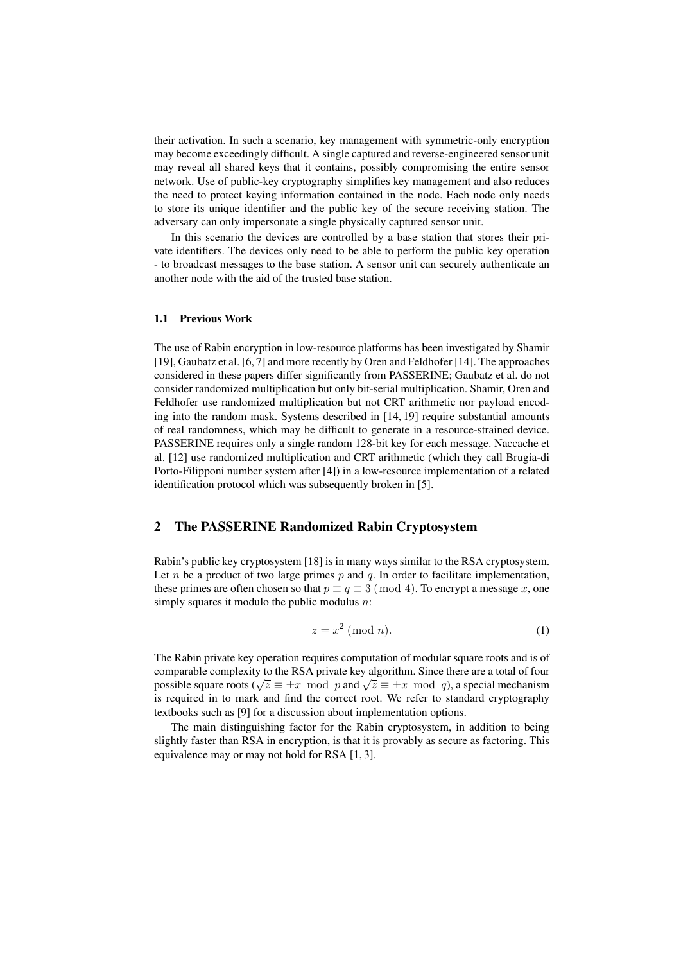their activation. In such a scenario, key management with symmetric-only encryption may become exceedingly difficult. A single captured and reverse-engineered sensor unit may reveal all shared keys that it contains, possibly compromising the entire sensor network. Use of public-key cryptography simplifies key management and also reduces the need to protect keying information contained in the node. Each node only needs to store its unique identifier and the public key of the secure receiving station. The adversary can only impersonate a single physically captured sensor unit.

In this scenario the devices are controlled by a base station that stores their private identifiers. The devices only need to be able to perform the public key operation - to broadcast messages to the base station. A sensor unit can securely authenticate an another node with the aid of the trusted base station.

## 1.1 Previous Work

The use of Rabin encryption in low-resource platforms has been investigated by Shamir [19], Gaubatz et al. [6, 7] and more recently by Oren and Feldhofer [14]. The approaches considered in these papers differ significantly from PASSERINE; Gaubatz et al. do not consider randomized multiplication but only bit-serial multiplication. Shamir, Oren and Feldhofer use randomized multiplication but not CRT arithmetic nor payload encoding into the random mask. Systems described in [14, 19] require substantial amounts of real randomness, which may be difficult to generate in a resource-strained device. PASSERINE requires only a single random 128-bit key for each message. Naccache et al. [12] use randomized multiplication and CRT arithmetic (which they call Brugia-di Porto-Filipponi number system after [4]) in a low-resource implementation of a related identification protocol which was subsequently broken in [5].

# 2 The PASSERINE Randomized Rabin Cryptosystem

Rabin's public key cryptosystem [18] is in many ways similar to the RSA cryptosystem. Let  $n$  be a product of two large primes  $p$  and  $q$ . In order to facilitate implementation, these primes are often chosen so that  $p \equiv q \equiv 3 \pmod{4}$ . To encrypt a message *x*, one simply squares it modulo the public modulus *n*:

$$
z = x^2 \pmod{n}.\tag{1}
$$

The Rabin private key operation requires computation of modular square roots and is of comparable complexity to the RSA private key algorithm. Since there are a total of four possible square roots ( $\sqrt{z} \equiv \pm x \mod p$  and  $\sqrt{z} \equiv \pm x \mod q$ ), a special mechanism is required in to mark and find the correct root. We refer to standard cryptography textbooks such as [9] for a discussion about implementation options.

The main distinguishing factor for the Rabin cryptosystem, in addition to being slightly faster than RSA in encryption, is that it is provably as secure as factoring. This equivalence may or may not hold for RSA [1, 3].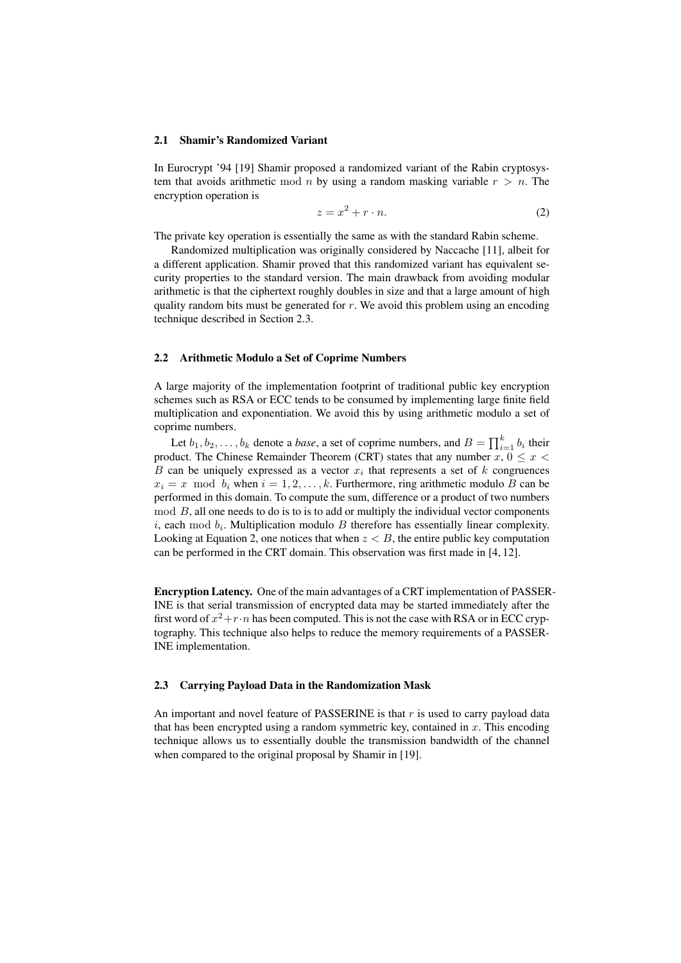#### 2.1 Shamir's Randomized Variant

In Eurocrypt '94 [19] Shamir proposed a randomized variant of the Rabin cryptosystem that avoids arithmetic mod *n* by using a random masking variable  $r > n$ . The encryption operation is

$$
z = x^2 + r \cdot n. \tag{2}
$$

The private key operation is essentially the same as with the standard Rabin scheme.

Randomized multiplication was originally considered by Naccache [11], albeit for a different application. Shamir proved that this randomized variant has equivalent security properties to the standard version. The main drawback from avoiding modular arithmetic is that the ciphertext roughly doubles in size and that a large amount of high quality random bits must be generated for *r*. We avoid this problem using an encoding technique described in Section 2.3.

#### 2.2 Arithmetic Modulo a Set of Coprime Numbers

A large majority of the implementation footprint of traditional public key encryption schemes such as RSA or ECC tends to be consumed by implementing large finite field multiplication and exponentiation. We avoid this by using arithmetic modulo a set of coprime numbers.

Let  $b_1, b_2, \ldots, b_k$  denote a *base*, a set of coprime numbers, and  $B = \prod_{i=1}^k b_i$  their product. The Chinese Remainder Theorem (CRT) states that any number  $x, 0 \leq x <$ *B* can be uniquely expressed as a vector  $x_i$  that represents a set of  $k$  congruences  $x_i = x \mod b_i$  when  $i = 1, 2, \ldots, k$ . Furthermore, ring arithmetic modulo *B* can be performed in this domain. To compute the sum, difference or a product of two numbers mod *B*, all one needs to do is to is to add or multiply the individual vector components *i*, each mod *b<sup>i</sup>* . Multiplication modulo *B* therefore has essentially linear complexity. Looking at Equation 2, one notices that when  $z < B$ , the entire public key computation can be performed in the CRT domain. This observation was first made in [4, 12].

Encryption Latency. One of the main advantages of a CRT implementation of PASSER-INE is that serial transmission of encrypted data may be started immediately after the first word of  $x^2 + r \cdot n$  has been computed. This is not the case with RSA or in ECC cryptography. This technique also helps to reduce the memory requirements of a PASSER-INE implementation.

#### 2.3 Carrying Payload Data in the Randomization Mask

An important and novel feature of PASSERINE is that *r* is used to carry payload data that has been encrypted using a random symmetric key, contained in *x*. This encoding technique allows us to essentially double the transmission bandwidth of the channel when compared to the original proposal by Shamir in [19].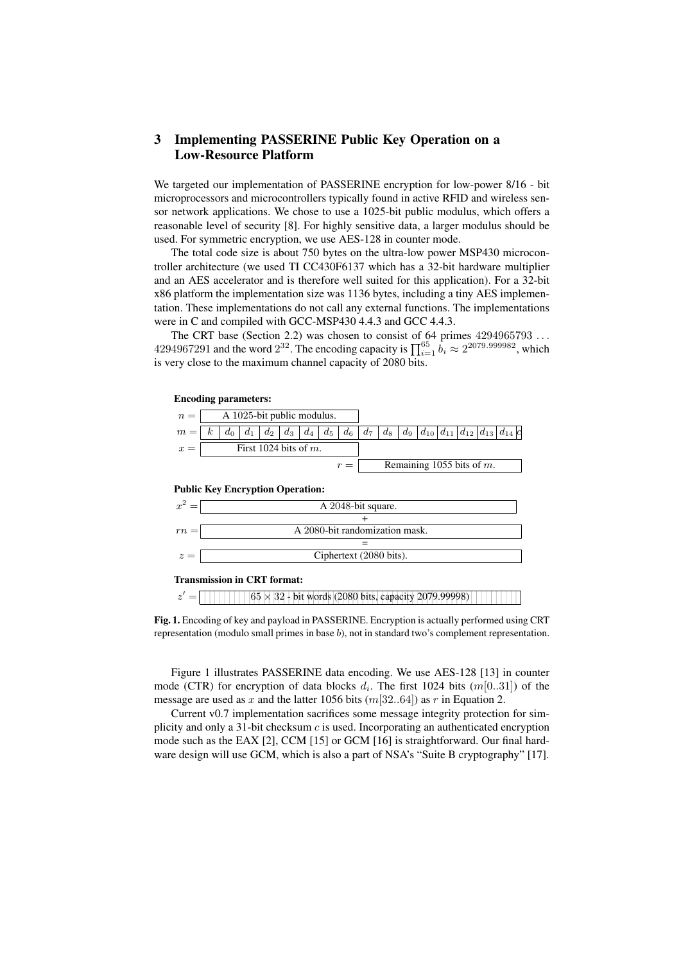# 3 Implementing PASSERINE Public Key Operation on a Low-Resource Platform

We targeted our implementation of PASSERINE encryption for low-power 8/16 - bit microprocessors and microcontrollers typically found in active RFID and wireless sensor network applications. We chose to use a 1025-bit public modulus, which offers a reasonable level of security [8]. For highly sensitive data, a larger modulus should be used. For symmetric encryption, we use AES-128 in counter mode.

The total code size is about 750 bytes on the ultra-low power MSP430 microcontroller architecture (we used TI CC430F6137 which has a 32-bit hardware multiplier and an AES accelerator and is therefore well suited for this application). For a 32-bit x86 platform the implementation size was 1136 bytes, including a tiny AES implementation. These implementations do not call any external functions. The implementations were in C and compiled with GCC-MSP430 4.4.3 and GCC 4.4.3.

The CRT base (Section 2.2) was chosen to consist of 64 primes 4294965793 *. . .* 4294967291 and the word  $2^{32}$ . The encoding capacity is  $\prod_{i=1}^{65} b_i \approx 2^{2079.999982}$ , which is very close to the maximum channel capacity of 2080 bits.







 $z' =$  $65 \times 32$  - bit words (2080 bits, capacity 2079.99998)

Fig. 1. Encoding of key and payload in PASSERINE. Encryption is actually performed using CRT representation (modulo small primes in base *b*), not in standard two's complement representation.

Figure 1 illustrates PASSERINE data encoding. We use AES-128 [13] in counter mode (CTR) for encryption of data blocks *d<sup>i</sup>* . The first 1024 bits (*m*[0*..*31]) of the message are used as x and the latter 1056 bits  $(m[32..64])$  as r in Equation 2.

Current v0.7 implementation sacrifices some message integrity protection for simplicity and only a 31-bit checksum *c* is used. Incorporating an authenticated encryption mode such as the EAX [2], CCM [15] or GCM [16] is straightforward. Our final hardware design will use GCM, which is also a part of NSA's "Suite B cryptography" [17].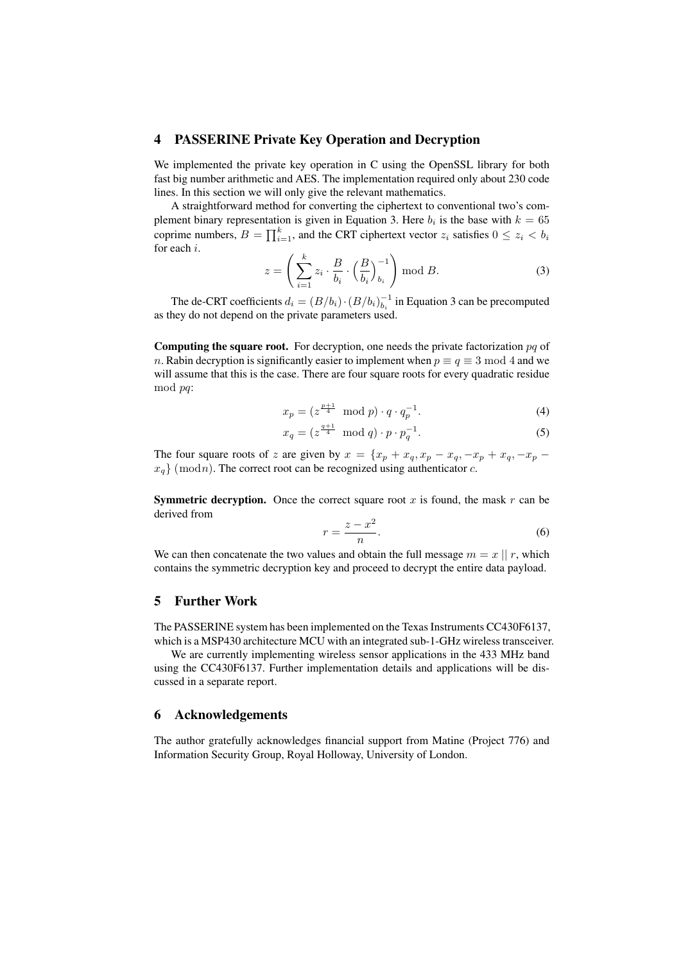### 4 PASSERINE Private Key Operation and Decryption

We implemented the private key operation in C using the OpenSSL library for both fast big number arithmetic and AES. The implementation required only about 230 code lines. In this section we will only give the relevant mathematics.

A straightforward method for converting the ciphertext to conventional two's complement binary representation is given in Equation 3. Here  $b_i$  is the base with  $k = 65$ coprime numbers,  $B = \prod_{i=1}^{k}$ , and the CRT ciphertext vector  $z_i$  satisfies  $0 \le z_i < b_i$ for each *i*.

$$
z = \left(\sum_{i=1}^{k} z_i \cdot \frac{B}{b_i} \cdot \left(\frac{B}{b_i}\right)_{b_i}^{-1}\right) \bmod B. \tag{3}
$$

The de-CRT coefficients  $d_i = (B/b_i) \cdot (B/b_i)_{b_i}^{-1}$  in Equation 3 can be precomputed as they do not depend on the private parameters used.

Computing the square root. For decryption, one needs the private factorization *pq* of *n*. Rabin decryption is significantly easier to implement when  $p \equiv q \equiv 3 \mod 4$  and we will assume that this is the case. There are four square roots for every quadratic residue mod *pq*:

$$
x_p = (z^{\frac{p+1}{4}} \mod p) \cdot q \cdot q_p^{-1}.
$$
 (4)

$$
x_q = (z^{\frac{q+1}{4}} \mod q) \cdot p \cdot p_q^{-1}.
$$
 (5)

The four square roots of z are given by  $x = \{x_p + x_q, x_p - x_q, -x_p + x_q, -x_p - x_q\}$  $x_q$ } (mod*n*). The correct root can be recognized using authenticator *c*.

**Symmetric decryption.** Once the correct square root  $x$  is found, the mask  $r$  can be derived from

$$
r = \frac{z - x^2}{n}.\tag{6}
$$

We can then concatenate the two values and obtain the full message  $m = x \mid r$ , which contains the symmetric decryption key and proceed to decrypt the entire data payload.

# 5 Further Work

The PASSERINE system has been implemented on the Texas Instruments CC430F6137, which is a MSP430 architecture MCU with an integrated sub-1-GHz wireless transceiver.

We are currently implementing wireless sensor applications in the 433 MHz band using the CC430F6137. Further implementation details and applications will be discussed in a separate report.

# 6 Acknowledgements

The author gratefully acknowledges financial support from Matine (Project 776) and Information Security Group, Royal Holloway, University of London.